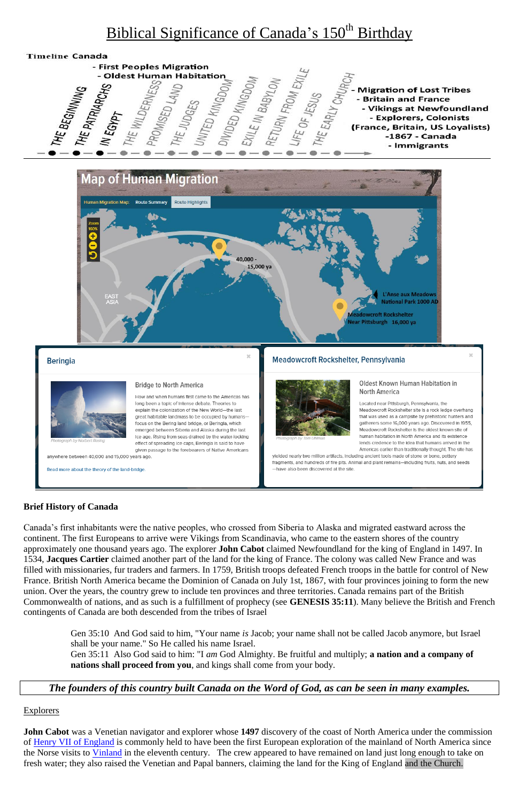# Biblical Significance of Canada's 150<sup>th</sup> Birthday





#### **Beringia**



ograph by Norbert Rosing

anywhere between 40,000 and 15,000 years ago.

Read more about the theory of the land-bridge.

#### **Bridge to North America**

How and when humans first came to the Americas has long been a topic of intense debate. Theories to explain the colonization of the New World-the last great habitable landmass to be occupied by humansfocus on the Bering land bridge, or Beringia, which emerged between Siberia and Alaska during the last Ice age. Rising from seas drained by the water-locking effect of spreading ice caps, Beringia is said to have given passage to the forebearers of Native Americans

#### Meadowcroft Rockshelter, Pennsylvania



Oldest Known Human Habitation in North America

Located near Pittsburgh, Pennsylvania, the Meadowcroft Rockshelter site is a rock ledge overhang that was used as a campsite by prehistoric hunters and gatherers some 16,000 years ago. Discovered in 1955, Meadowcroft Rockshelter Is the oldest known site of human habitation in North America and its existence lends credence to the Idea that humans arrived in the Americas earlier than traditionally thought. The site has

yielded nearly two million artifacts, including ancient tools made of stone or bone, pottery fragments, and hundreds of fire pits. Animal and plant remains-including fruits, nuts, and seeds -have also been discovered at the site

### **Brief History of Canada**

Canada's first inhabitants were the native peoples, who crossed from Siberia to Alaska and migrated eastward across the continent. The first Europeans to arrive were Vikings from Scandinavia, who came to the eastern shores of the country approximately one thousand years ago. The explorer **John Cabot** claimed Newfoundland for the king of England in 1497. In 1534, **Jacques Cartier** claimed another part of the land for the king of France. The colony was called New France and was filled with missionaries, fur traders and farmers. In 1759, British troops defeated French troops in the battle for control of New France. British North America became the Dominion of Canada on July 1st, 1867, with four provinces joining to form the new union. Over the years, the country grew to include ten provinces and three territories. Canada remains part of the British Commonwealth of nations, and as such is a fulfillment of prophecy (see **GENESIS 35:11**). Many believe the British and French contingents of Canada are both descended from the tribes of Israel

Gen 35:10 And God said to him, "Your name *is* Jacob; your name shall not be called Jacob anymore, but Israel shall be your name." So He called his name Israel. Gen 35:11 Also God said to him: "I *am* God Almighty. Be fruitful and multiply; **a nation and a company of nations shall proceed from you**, and kings shall come from your body.

*The founders of this country built Canada on the Word of God, as can be seen in many examples.*

#### **Explorers**

**John Cabot** was a Venetian navigator and explorer whose **1497** discovery of the coast of North America under the commission of [Henry VII of England](https://en.wikipedia.org/wiki/Henry_VII_of_England) is commonly held to have been the first European exploration of the mainland of North America since the Norse visits to *[Vinland](https://en.wikipedia.org/wiki/Vinland)* in the eleventh century. The crew appeared to have remained on land just long enough to take on fresh water; they also raised the Venetian and Papal banners, claiming the land for the King of England and the Church.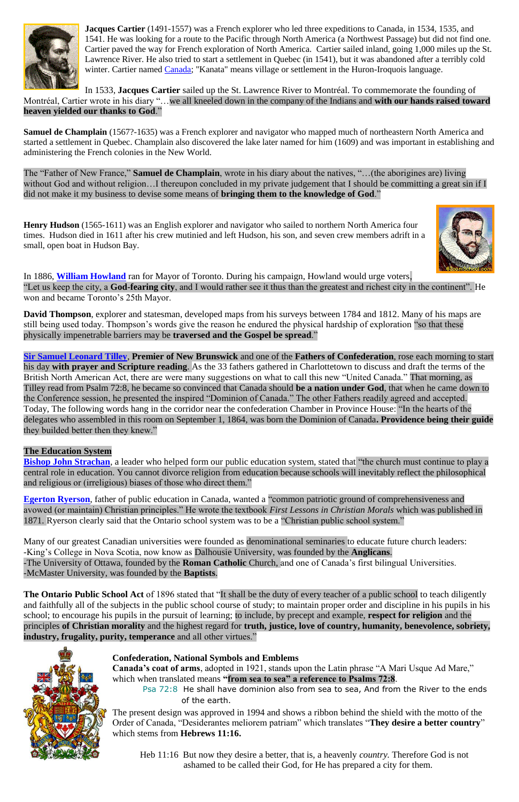

**Jacques Cartier** (1491-1557) was a French explorer who led three expeditions to Canada, in 1534, 1535, and 1541. He was looking for a route to the Pacific through North America (a Northwest Passage) but did not find one. Cartier paved the way for French exploration of North America. Cartier sailed inland, going 1,000 miles up the St. Lawrence River. He also tried to start a settlement in Quebec (in 1541), but it was abandoned after a terribly cold winter. Cartier named [Canada;](http://www.enchantedlearning.com/school/Canada/) "Kanata" means village or settlement in the Huron-Iroquois language.

**Samuel de Champlain** (1567?-1635) was a French explorer and navigator who mapped much of northeastern North America and started a settlement in Quebec. Champlain also discovered the lake later named for him (1609) and was important in establishing and administering the French colonies in the New World.

In 1533, **Jacques Cartier** sailed up the St. Lawrence River to Montréal. To commemorate the founding of Montréal, Cartier wrote in his diary "…we all kneeled down in the company of the Indians and **with our hands raised toward heaven yielded our thanks to God**."

**Henry Hudson** (1565-1611) was an English explorer and navigator who sailed to northern North America four times. Hudson died in 1611 after his crew mutinied and left Hudson, his son, and seven crew members adrift in a small, open boat in Hudson Bay.



The "Father of New France," **Samuel de Champlain**, wrote in his diary about the natives, "…(the aborigines are) living without God and without religion…I thereupon concluded in my private judgement that I should be committing a great sin if I did not make it my business to devise some means of **bringing them to the knowledge of God**."

**[Bishop John Strachan](http://www.ccheritage.ca/biographies/johnstrachan)**, a leader who helped form our public education system, stated that "the church must continue to play a central role in education. You cannot divorce religion from education because schools will inevitably reflect the philosophical and religious or (irreligious) biases of those who direct them."

In 1886, **[William Howland](http://www.ccheritage.ca/biographies/williamhowland)** ran for Mayor of Toronto. During his campaign, Howland would urge voters, "Let us keep the city, a **God-fearing city**, and I would rather see it thus than the greatest and richest city in the continent". He won and became Toronto's 25th Mayor.

**David Thompson**, explorer and statesman, developed maps from his surveys between 1784 and 1812. Many of his maps are still being used today. Thompson's words give the reason he endured the physical hardship of exploration "so that these physically impenetrable barriers may be **traversed and the Gospel be spread**."

> Psa 72:8 He shall have dominion also from sea to sea, And from the River to the ends of the earth.

**[Sir Samuel Leonard Tilley](http://www.ccheritage.ca/biographies/leonardtilley)**, **Premier of New Brunswick** and one of the **Fathers of Confederation**, rose each morning to start his day **with prayer and Scripture reading**. As the 33 fathers gathered in Charlottetown to discuss and draft the terms of the British North American Act, there are were many suggestions on what to call this new "United Canada." That morning, as Tilley read from Psalm 72:8, he became so convinced that Canada should **be a nation under God**, that when he came down to the Conference session, he presented the inspired "Dominion of Canada." The other Fathers readily agreed and accepted. Today, The following words hang in the corridor near the confederation Chamber in Province House: "In the hearts of the delegates who assembled in this room on September 1, 1864, was born the Dominion of Canada**. Providence being their guide** they builded better then they knew."

# **The Education System**

**[Egerton Ryerson](http://www.ccheritage.ca/biographies/egertonryerson)**, father of public education in Canada, wanted a "common patriotic ground of comprehensiveness and avowed (or maintain) Christian principles." He wrote the textbook *First Lessons in Christian Morals* which was published in 1871. Ryerson clearly said that the Ontario school system was to be a "Christian public school system."

Many of our greatest Canadian universities were founded as denominational seminaries to educate future church leaders: -King's College in Nova Scotia, now know as Dalhousie University, was founded by the **Anglicans**. -The University of Ottawa, founded by the **Roman Catholic** Church, and one of Canada's first bilingual Universities. -McMaster University, was founded by the **Baptists**.

**The Ontario Public School Act** of 1896 stated that "It shall be the duty of every teacher of a public school to teach diligently and faithfully all of the subjects in the public school course of study; to maintain proper order and discipline in his pupils in his school; to encourage his pupils in the pursuit of learning; to include, by precept and example, **respect for religion** and the principles **of Christian morality** and the highest regard for **truth, justice, love of country, humanity, benevolence, sobriety, industry, frugality, purity, temperance** and all other virtues."



#### **Confederation, National Symbols and Emblems**

**Canada's coat of arms**, adopted in 1921, stands upon the Latin phrase "A Mari Usque Ad Mare," which when translated means **"from sea to sea" a reference to Psalms 72:8**.

The present design was approved in 1994 and shows a ribbon behind the shield with the motto of the Order of Canada, "Desiderantes meliorem patriam" which translates "**They desire a better country**" which stems from **Hebrews 11:16.**

 Heb 11:16 But now they desire a better, that is, a heavenly *country.* Therefore God is not ashamed to be called their God, for He has prepared a city for them.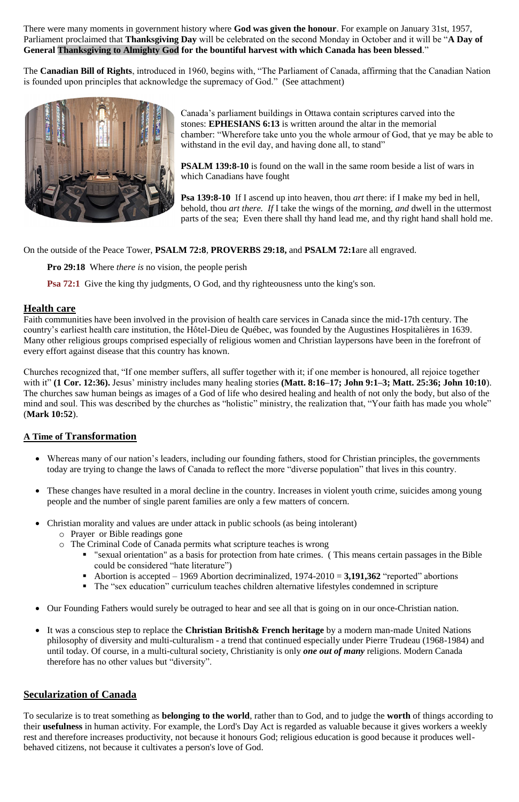There were many moments in government history where **God was given the honour**. For example on January 31st, 1957, Parliament proclaimed that **Thanksgiving Day** will be celebrated on the second Monday in October and it will be "**A Day of General Thanksgiving to Almighty God for the bountiful harvest with which Canada has been blessed**."

> Canada's parliament buildings in Ottawa contain scriptures carved into the stones: **EPHESIANS 6:13** is written around the altar in the memorial chamber: "Wherefore take unto you the whole armour of God, that ye may be able to withstand in the evil day, and having done all, to stand"

The **Canadian Bill of Rights**, introduced in 1960, begins with, "The Parliament of Canada, affirming that the Canadian Nation is founded upon principles that acknowledge the supremacy of God." (See attachment)



**PSALM 139:8-10** is found on the wall in the same room beside a list of wars in which Canadians have fought

**Psa 139:8-10** If I ascend up into heaven, thou *art* there: if I make my bed in hell, behold, thou *art there. If* I take the wings of the morning, *and* dwell in the uttermost parts of the sea; Even there shall thy hand lead me, and thy right hand shall hold me.

On the outside of the Peace Tower, **PSALM 72:8**, **PROVERBS 29:18,** and **PSALM 72:1**are all engraved.

**Pro 29:18** Where *there is* no vision, the people perish

**Psa 72:1** Give the king thy judgments, O God, and thy righteousness unto the king's son.

# **Health care**

Faith communities have been involved in the provision of health care services in Canada since the mid-17th century. The country's earliest health care institution, the Hôtel-Dieu de Québec, was founded by the Augustines Hospitalières in 1639. Many other religious groups comprised especially of religious women and Christian laypersons have been in the forefront of every effort against disease that this country has known.

Churches recognized that, "If one member suffers, all suffer together with it; if one member is honoured, all rejoice together with it" **(1 Cor. 12:36).** Jesus' ministry includes many healing stories **(Matt. 8:16–17; John 9:1–3; Matt. 25:36; John 10:10**). The churches saw human beings as images of a God of life who desired healing and health of not only the body, but also of the mind and soul. This was described by the churches as "holistic" ministry, the realization that, "Your faith has made you whole" (**Mark 10:52**).

# **A Time of Transformation**

- Whereas many of our nation's leaders, including our founding fathers, stood for Christian principles, the governments today are trying to change the laws of Canada to reflect the more "diverse population" that lives in this country.
- These changes have resulted in a moral decline in the country. Increases in violent youth crime, suicides among young people and the number of single parent families are only a few matters of concern.
- Christian morality and values are under attack in public schools (as being intolerant)
	- o Prayer or Bible readings gone
	- o The Criminal Code of Canada permits what scripture teaches is wrong
		- "sexual orientation" as a basis for protection from hate crimes. ( This means certain passages in the Bible could be considered "hate literature")
		- Abortion is accepted 1969 Abortion decriminalized, 1974-2010 = **3,191,362** "reported" abortions
			- The "sex education" curriculum teaches children alternative lifestyles condemned in scripture

- Our Founding Fathers would surely be outraged to hear and see all that is going on in our once-Christian nation.
- It was a conscious step to replace the **Christian British& French heritage** by a modern man-made United Nations philosophy of diversity and multi-culturalism - a trend that continued especially under Pierre Trudeau (1968-1984) and until today. Of course, in a multi-cultural society, Christianity is only *one out of many* religions. Modern Canada therefore has no other values but "diversity".

# **Secularization of Canada**

To secularize is to treat something as **belonging to the world**, rather than to God, and to judge the **worth** of things according to their **usefulness** in human activity. For example, the Lord's Day Act is regarded as valuable because it gives workers a weekly rest and therefore increases productivity, not because it honours God; religious education is good because it produces wellbehaved citizens, not because it cultivates a person's love of God.